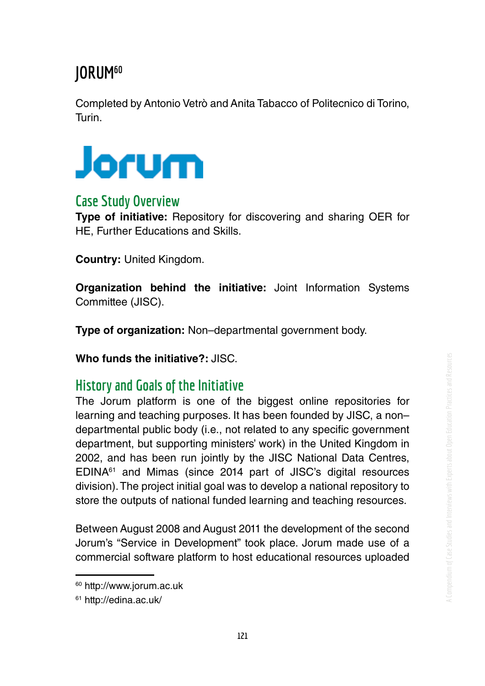# **JORUM60**

Completed by Antonio Vetrò and Anita Tabacco of Politecnico di Torino, Turin.



## **Case Study Overview**

**Type of initiative:** Repository for discovering and sharing OER for HE, Further Educations and Skills.

**Country:** United Kingdom.

**Organization behind the initiative:** Joint Information Systems Committee (JISC).

**Type of organization:** Non–departmental government body.

**Who funds the initiative?:** JISC.

## **History and Goals of the Initiative**

The Jorum platform is one of the biggest online repositories for learning and teaching purposes. It has been founded by JISC, a non– departmental public body (i.e., not related to any specific government department, but supporting ministers' work) in the United Kingdom in 2002, and has been run jointly by the JISC National Data Centres, EDINA61 and Mimas (since 2014 part of JISC's digital resources division). The project initial goal was to develop a national repository to store the outputs of national funded learning and teaching resources.

Between August 2008 and August 2011 the development of the second Jorum's "Service in Development" took place. Jorum made use of a commercial software platform to host educational resources uploaded

<sup>60</sup> http://www.jorum.ac.uk

<sup>61</sup> http://edina.ac.uk/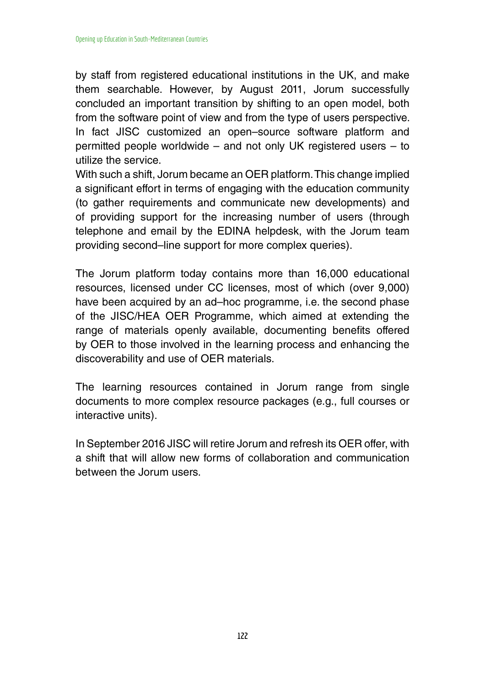by staff from registered educational institutions in the UK, and make them searchable. However, by August 2011, Jorum successfully concluded an important transition by shifting to an open model, both from the software point of view and from the type of users perspective. In fact JISC customized an open–source software platform and permitted people worldwide – and not only UK registered users – to utilize the service.

With such a shift, Jorum became an OER platform. This change implied a significant effort in terms of engaging with the education community (to gather requirements and communicate new developments) and of providing support for the increasing number of users (through telephone and email by the EDINA helpdesk, with the Jorum team providing second–line support for more complex queries).

The Jorum platform today contains more than 16,000 educational resources, licensed under CC licenses, most of which (over 9,000) have been acquired by an ad–hoc programme, i.e. the second phase of the JISC/HEA OER Programme, which aimed at extending the range of materials openly available, documenting benefits offered by OER to those involved in the learning process and enhancing the discoverability and use of OER materials.

The learning resources contained in Jorum range from single documents to more complex resource packages (e.g., full courses or interactive units).

In September 2016 JISC will retire Jorum and refresh its OER offer, with a shift that will allow new forms of collaboration and communication between the Jorum users.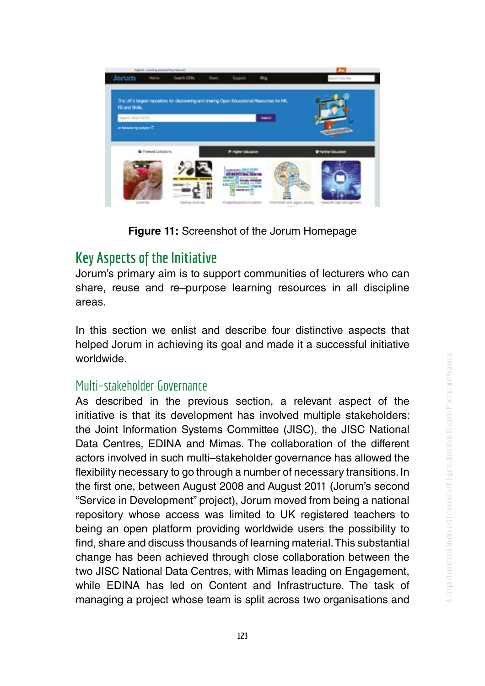

**Figure 11:** Screenshot of the Jorum Homepage

# **Key Aspects of the Initiative**

Jorum's primary aim is to support communities of lecturers who can share, reuse and re–purpose learning resources in all discipline areas.

In this section we enlist and describe four distinctive aspects that helped Jorum in achieving its goal and made it a successful initiative worldwide.

#### Multi–stakeholder Governance

As described in the previous section, a relevant aspect of the initiative is that its development has involved multiple stakeholders: the Joint Information Systems Committee (JISC), the JISC National Data Centres, EDINA and Mimas. The collaboration of the different actors involved in such multi–stakeholder governance has allowed the fexibility necessary to go through a number of necessary transitions. In the frst one, between August 2008 and August 2011 (Jorum's second "Service in Development" project), Jorum moved from being a national repository whose access was limited to UK registered teachers to being an open platform providing worldwide users the possibility to fnd, share and discuss thousands of learning material. This substantial change has been achieved through close collaboration between the two JISC National Data Centres, with Mimas leading on Engagement, while EDINA has led on Content and Infrastructure. The task of managing a project whose team is split across two organisations and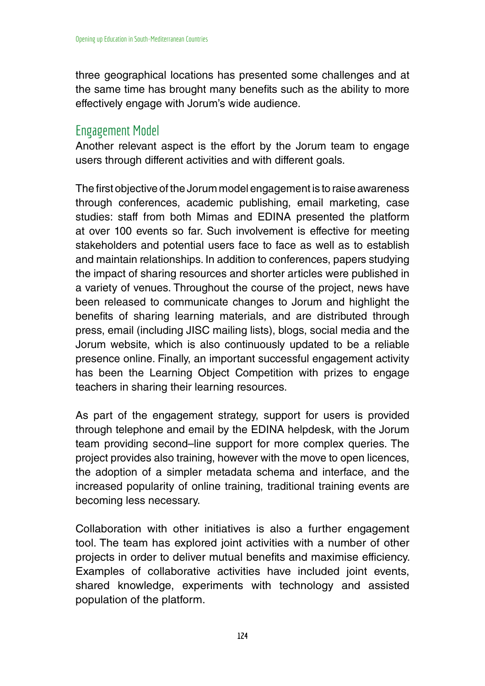three geographical locations has presented some challenges and at the same time has brought many benefts such as the ability to more effectively engage with Jorum's wide audience.

#### Engagement Model

Another relevant aspect is the effort by the Jorum team to engage users through different activities and with different goals.

The first objective of the Jorum model engagement is to raise awareness through conferences, academic publishing, email marketing, case studies: staff from both Mimas and EDINA presented the platform at over 100 events so far. Such involvement is effective for meeting stakeholders and potential users face to face as well as to establish and maintain relationships. In addition to conferences, papers studying the impact of sharing resources and shorter articles were published in a variety of venues. Throughout the course of the project, news have been released to communicate changes to Jorum and highlight the benefits of sharing learning materials, and are distributed through press, email (including JISC mailing lists), blogs, social media and the Jorum website, which is also continuously updated to be a reliable presence online. Finally, an important successful engagement activity has been the Learning Object Competition with prizes to engage teachers in sharing their learning resources.

As part of the engagement strategy, support for users is provided through telephone and email by the EDINA helpdesk, with the Jorum team providing second–line support for more complex queries. The project provides also training, however with the move to open licences, the adoption of a simpler metadata schema and interface, and the increased popularity of online training, traditional training events are becoming less necessary.

Collaboration with other initiatives is also a further engagement tool. The team has explored joint activities with a number of other projects in order to deliver mutual benefts and maximise efficiency. Examples of collaborative activities have included joint events, shared knowledge, experiments with technology and assisted population of the platform.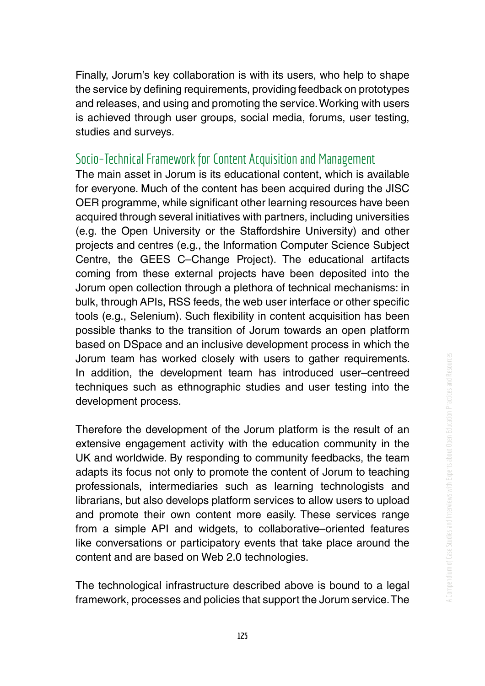Finally, Jorum's key collaboration is with its users, who help to shape the service by defining requirements, providing feedback on prototypes and releases, and using and promoting the service. Working with users is achieved through user groups, social media, forums, user testing, studies and surveys.

#### Socio–Technical Framework for Content Acquisition and Management

The main asset in Jorum is its educational content, which is available for everyone. Much of the content has been acquired during the JISC OER programme, while significant other learning resources have been acquired through several initiatives with partners, including universities (e.g. the Open University or the Staffordshire University) and other projects and centres (e.g., the Information Computer Science Subject Centre, the GEES C–Change Project). The educational artifacts coming from these external projects have been deposited into the Jorum open collection through a plethora of technical mechanisms: in bulk, through APIs, RSS feeds, the web user interface or other specifc tools (e.g., Selenium). Such flexibility in content acquisition has been possible thanks to the transition of Jorum towards an open platform based on DSpace and an inclusive development process in which the Jorum team has worked closely with users to gather requirements. In addition, the development team has introduced user–centreed techniques such as ethnographic studies and user testing into the development process.

Therefore the development of the Jorum platform is the result of an extensive engagement activity with the education community in the UK and worldwide. By responding to community feedbacks, the team adapts its focus not only to promote the content of Jorum to teaching professionals, intermediaries such as learning technologists and librarians, but also develops platform services to allow users to upload and promote their own content more easily. These services range from a simple API and widgets, to collaborative–oriented features like conversations or participatory events that take place around the content and are based on Web 2.0 technologies.

The technological infrastructure described above is bound to a legal framework, processes and policies that support the Jorum service. The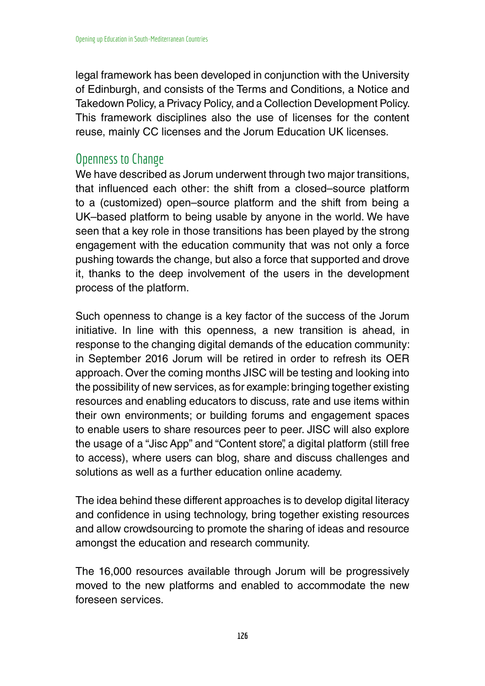legal framework has been developed in conjunction with the University of Edinburgh, and consists of the Terms and Conditions, a Notice and Takedown Policy, a Privacy Policy, and a Collection Development Policy. This framework disciplines also the use of licenses for the content reuse, mainly CC licenses and the Jorum Education UK licenses.

#### Openness to Change

We have described as Jorum underwent through two major transitions, that infuenced each other: the shift from a closed–source platform to a (customized) open–source platform and the shift from being a UK–based platform to being usable by anyone in the world. We have seen that a key role in those transitions has been played by the strong engagement with the education community that was not only a force pushing towards the change, but also a force that supported and drove it, thanks to the deep involvement of the users in the development process of the platform.

Such openness to change is a key factor of the success of the Jorum initiative. In line with this openness, a new transition is ahead, in response to the changing digital demands of the education community: in September 2016 Jorum will be retired in order to refresh its OER approach. Over the coming months JISC will be testing and looking into the possibility of new services, as for example: bringing together existing resources and enabling educators to discuss, rate and use items within their own environments; or building forums and engagement spaces to enable users to share resources peer to peer. JISC will also explore the usage of a "Jisc App" and "Content store", a digital platform (still free to access), where users can blog, share and discuss challenges and solutions as well as a further education online academy.

The idea behind these different approaches is to develop digital literacy and confdence in using technology, bring together existing resources and allow crowdsourcing to promote the sharing of ideas and resource amongst the education and research community.

The 16,000 resources available through Jorum will be progressively moved to the new platforms and enabled to accommodate the new foreseen services.